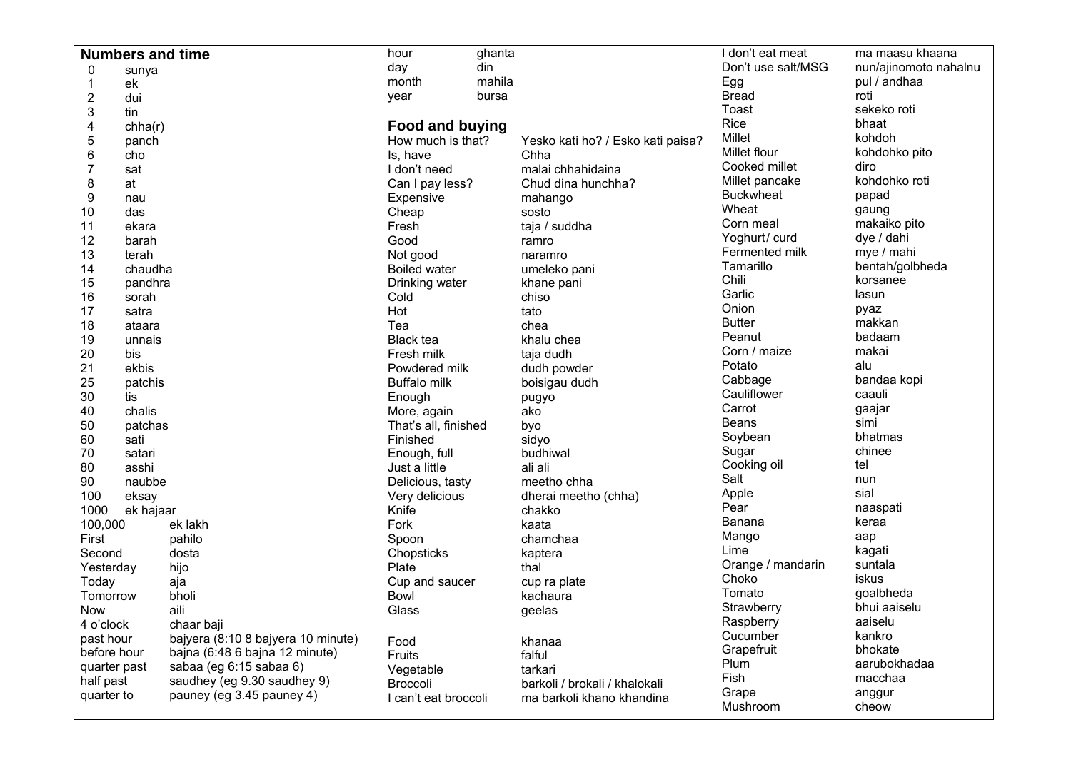| <b>Numbers and time</b> |                  |                                    | hour<br>ghanta         |                                   | I don't eat meat   | ma maasu khaana       |
|-------------------------|------------------|------------------------------------|------------------------|-----------------------------------|--------------------|-----------------------|
| 0<br>sunya              |                  |                                    | din<br>day             |                                   | Don't use salt/MSG | nun/ajinomoto nahalnu |
| $\mathbf 1$             | ek               |                                    | mahila<br>month        |                                   | Egg                | pul / andhaa          |
| $\mathbf 2$             | dui              |                                    | bursa<br>year          |                                   | <b>Bread</b>       | roti                  |
| 3                       | tin              |                                    |                        |                                   | Toast              | sekeko roti           |
| 4                       | chha(r)          |                                    | <b>Food and buying</b> |                                   | Rice               | bhaat                 |
| 5                       | panch            |                                    | How much is that?      | Yesko kati ho? / Esko kati paisa? | Millet             | kohdoh                |
| $\,6$                   | cho              |                                    | Is, have               | Chha                              | Millet flour       | kohdohko pito         |
| $\overline{7}$          | sat              |                                    | I don't need           | malai chhahidaina                 | Cooked millet      | diro                  |
| 8                       | at               |                                    | Can I pay less?        | Chud dina hunchha?                | Millet pancake     | kohdohko roti         |
| 9                       | nau              |                                    | Expensive<br>mahango   |                                   | <b>Buckwheat</b>   | papad                 |
| 10                      |                  |                                    | Cheap<br>sosto         |                                   | Wheat              | gaung                 |
| 11                      | das              |                                    | Fresh<br>taja / suddha |                                   | Corn meal          | makaiko pito          |
| 12                      | ekara            |                                    | Good<br>ramro          |                                   | Yoghurt/ curd      | dye / dahi            |
| 13                      | barah            |                                    | Not good<br>naramro    |                                   | Fermented milk     | mye / mahi            |
| 14                      | terah<br>chaudha |                                    | <b>Boiled water</b>    | umeleko pani                      | Tamarillo          | bentah/golbheda       |
|                         |                  |                                    |                        |                                   | Chili              | korsanee              |
|                         | 15<br>pandhra    |                                    | Drinking water<br>Cold | khane pani<br>chiso               | Garlic             | lasun                 |
|                         | 16<br>sorah      |                                    | Hot                    | tato                              | Onion              | pyaz                  |
|                         | 17<br>satra      |                                    | Tea                    | chea                              | <b>Butter</b>      | makkan                |
|                         | 18<br>ataara     |                                    | <b>Black tea</b>       |                                   | Peanut             | badaam                |
|                         | 19<br>unnais     |                                    |                        | khalu chea                        | Corn / maize       | makai                 |
| 20                      | bis              |                                    | Fresh milk             | taja dudh                         | Potato             | alu                   |
| 21                      | ekbis            |                                    | Powdered milk          | dudh powder                       | Cabbage            | bandaa kopi           |
| 25                      | patchis          |                                    | <b>Buffalo milk</b>    | boisigau dudh                     | Cauliflower        | caauli                |
| 30                      | tis              |                                    | Enough                 | pugyo                             | Carrot             | gaajar                |
| 40                      | chalis           |                                    | More, again            | ako                               | <b>Beans</b>       | simi                  |
|                         | 50<br>patchas    |                                    | That's all, finished   | byo                               | Soybean            | bhatmas               |
|                         | 60<br>sati       |                                    | Finished               | sidyo                             | Sugar              | chinee                |
| 70                      | satari           |                                    | Enough, full           | budhiwal                          | Cooking oil        | tel                   |
| 80                      | asshi            |                                    | Just a little          | ali ali                           | Salt               | nun                   |
| 90                      | naubbe           |                                    | Delicious, tasty       | meetho chha                       | Apple              | sial                  |
| 100                     | eksay            |                                    | Very delicious         | dherai meetho (chha)              | Pear               |                       |
| 1000                    | ek hajaar        |                                    | Knife                  | chakko                            | Banana             | naaspati              |
| 100,000                 |                  | ek lakh                            | Fork                   | kaata                             |                    | keraa                 |
| First                   |                  | pahilo                             | Spoon                  | chamchaa                          | Mango<br>Lime      | aap                   |
| Second                  |                  | dosta                              | Chopsticks             | kaptera                           |                    | kagati                |
| Yesterday               |                  | hijo                               | Plate                  | thal                              | Orange / mandarin  | suntala               |
| Today                   |                  | aja                                | Cup and saucer         | cup ra plate                      | Choko              | iskus                 |
| Tomorrow                |                  | bholi                              | <b>Bowl</b>            | kachaura                          | Tomato             | goalbheda             |
| <b>Now</b>              |                  | aili                               | Glass                  | geelas                            | Strawberry         | bhui aaiselu          |
| 4 o'clock               |                  | chaar baji                         |                        |                                   | Raspberry          | aaiselu               |
| past hour               |                  | bajyera (8:10 8 bajyera 10 minute) | Food                   | khanaa                            | Cucumber           | kankro                |
| before hour             |                  | bajna (6:48 6 bajna 12 minute)     | Fruits                 | falful                            | Grapefruit         | bhokate               |
| quarter past            |                  | sabaa (eg 6:15 sabaa 6)            | Vegetable              | tarkari                           | Plum               | aarubokhadaa          |
| half past               |                  | saudhey (eg 9.30 saudhey 9)        | Broccoli               | barkoli / brokali / khalokali     | Fish               | macchaa               |
| quarter to              |                  | pauney (eg 3.45 pauney 4)          | I can't eat broccoli   | ma barkoli khano khandina         | Grape              | anggur                |
|                         |                  |                                    |                        |                                   | Mushroom           | cheow                 |